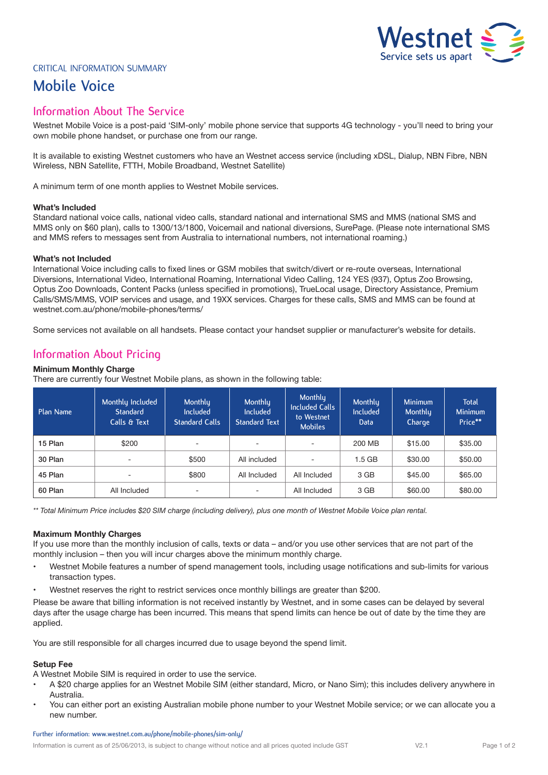# Westnet  $\geq$

# CRITICAL INFORMATION SUMMARY

# **Mobile Voice**

# **Information About The Service**

Westnet Mobile Voice is a post-paid 'SIM-only' mobile phone service that supports 4G technology - you'll need to bring your own mobile phone handset, or purchase one from our range.

It is available to existing Westnet customers who have an Westnet access service (including xDSL, Dialup, NBN Fibre, NBN Wireless, NBN Satellite, FTTH, Mobile Broadband, Westnet Satellite)

A minimum term of one month applies to Westnet Mobile services.

# **What's Included**

Standard national voice calls, national video calls, standard national and international SMS and MMS (national SMS and MMS only on \$60 plan), calls to 1300/13/1800, Voicemail and national diversions, SurePage. (Please note international SMS and MMS refers to messages sent from Australia to international numbers, not international roaming.)

# **What's not Included**

International Voice including calls to fixed lines or GSM mobiles that switch/divert or re-route overseas, International Diversions, International Video, International Roaming, International Video Calling, 124 YES (937), Optus Zoo Browsing, Optus Zoo Downloads, Content Packs (unless specified in promotions), TrueLocal usage, Directory Assistance, Premium Calls/SMS/MMS, VOIP services and usage, and 19XX services. Charges for these calls, SMS and MMS can be found at westnet.com.au/phone/mobile-phones/terms/

Some services not available on all handsets. Please contact your handset supplier or manufacturer's website for details.

# **Information About Pricing**

# **Minimum Monthly Charge**

There are currently four Westnet Mobile plans, as shown in the following table:

| Plan Name | Monthly Included<br>Standard<br>Calls & Text | Monthlu<br><b>Included</b><br><b>Standard Calls</b> | Monthly<br>Included<br><b>Standard Text</b> | Monthly<br><b>Included Calls</b><br>to Westnet<br><b>Mobiles</b> | Monthly<br><b>Included</b><br><b>Data</b> | <b>Minimum</b><br>Monthly<br>Charge | <b>Total</b><br><b>Minimum</b><br>Price** |
|-----------|----------------------------------------------|-----------------------------------------------------|---------------------------------------------|------------------------------------------------------------------|-------------------------------------------|-------------------------------------|-------------------------------------------|
| 15 Plan   | \$200                                        | -                                                   | ۰                                           | -                                                                | 200 MB                                    | \$15.00                             | \$35.00                                   |
| 30 Plan   |                                              | \$500                                               | All included                                |                                                                  | 1.5 GB                                    | \$30.00                             | \$50.00                                   |
| 45 Plan   |                                              | \$800                                               | All Included                                | All Included                                                     | 3 GB                                      | \$45.00                             | \$65.00                                   |
| 60 Plan   | All Included                                 | $\overline{\phantom{a}}$                            | ۰                                           | All Included                                                     | 3 GB                                      | \$60.00                             | \$80.00                                   |

*\*\* Total Minimum Price includes \$20 SIM charge (including delivery), plus one month of Westnet Mobile Voice plan rental.* 

## **Maximum Monthly Charges**

If you use more than the monthly inclusion of calls, texts or data – and/or you use other services that are not part of the monthly inclusion – then you will incur charges above the minimum monthly charge.

- Westnet Mobile features a number of spend management tools, including usage notifications and sub-limits for various transaction types.
- Westnet reserves the right to restrict services once monthly billings are greater than \$200.

Please be aware that billing information is not received instantly by Westnet, and in some cases can be delayed by several days after the usage charge has been incurred. This means that spend limits can hence be out of date by the time they are applied.

You are still responsible for all charges incurred due to usage beyond the spend limit.

# **Setup Fee**

A Westnet Mobile SIM is required in order to use the service.

- A \$20 charge applies for an Westnet Mobile SIM (either standard, Micro, or Nano Sim); this includes delivery anywhere in Australia.
- You can either port an existing Australian mobile phone number to your Westnet Mobile service; or we can allocate you a new number.